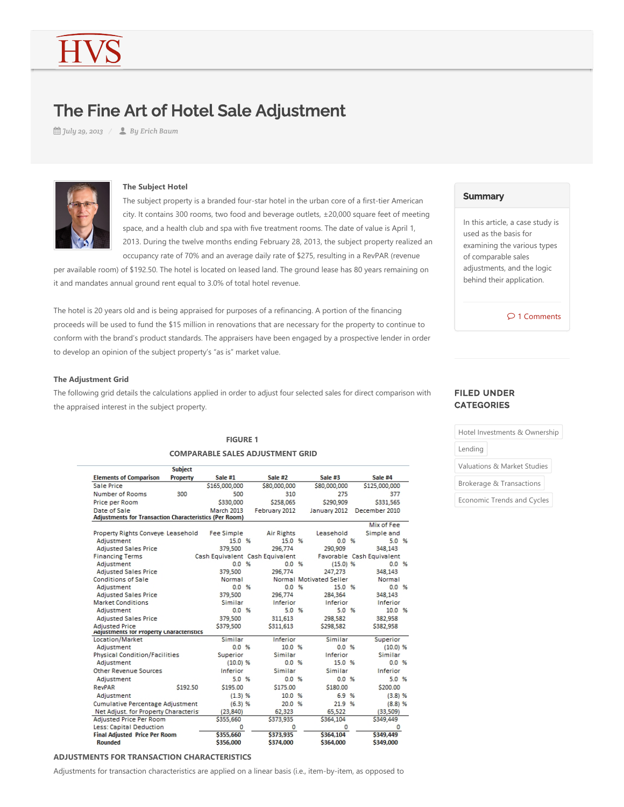# The Fine Art of Hotel Sale Adjustment

*July 29, 2013 By Erich Baum*



# **The Subject Hotel**

The subject property is a branded four-star hotel in the urban core of a first-tier American city. It contains 300 rooms, two food and beverage outlets, ±20,000 square feet of meeting space, and a health club and spa with five treatment rooms. The date of value is April 1, 2013. During the twelve months ending February 28, 2013, the subject property realized an occupancy rate of 70% and an average daily rate of \$275, resulting in a RevPAR (revenue

per available room) of \$192.50. The hotel is located on leased land. The ground lease has 80 years remaining on it and mandates annual ground rent equal to 3.0% of total hotel revenue.

The hotel is 20 years old and is being appraised for purposes of a refinancing. A portion of the financing proceeds will be used to fund the \$15 million in renovations that are necessary for the property to continue to conform with the brand's product standards. The appraisers have been engaged by a prospective lender in order to develop an opinion of the subject property's "as is" market value.

## **The Adjustment Grid**

The following grid details the calculations applied in order to adjust four selected sales for direct comparison with the appraised interest in the subject property.

# **FIGURE 1 COMPARABLE SALES ADJUSTMENT GRID**

|                                                                   | <b>Subject</b> |                   |                                 |                         |                           |  |
|-------------------------------------------------------------------|----------------|-------------------|---------------------------------|-------------------------|---------------------------|--|
| <b>Elements of Comparison</b>                                     | Property       | Sale #1           | Sale #2                         | Sale #3                 | Sale #4                   |  |
| Sale Price                                                        |                | \$165,000,000     | \$80,000,000                    | \$80,000,000            | \$125,000,000             |  |
| Number of Rooms                                                   | 300            | 500               | 310                             | 275                     | 377                       |  |
| Price per Room                                                    |                | \$330,000         | \$258,065                       | \$290,909               | \$331,565                 |  |
| Date of Sale                                                      |                | <b>March 2013</b> | February 2012                   | January 2012            | December 2010             |  |
| Adjustments for Transaction Characteristics (Per Room)            |                |                   |                                 |                         |                           |  |
|                                                                   |                |                   |                                 |                         | Mix of Fee                |  |
| Property Rights Conveye Leasehold                                 |                | <b>Fee Simple</b> | <b>Air Rights</b>               | Leasehold               | Simple and                |  |
| Adjustment                                                        |                | 15.0%             | 15.0 %                          | 0.0%                    | 5.0 %                     |  |
| <b>Adjusted Sales Price</b>                                       |                | 379,500           | 296,774                         | 290.909                 | 348,143                   |  |
| <b>Financing Terms</b>                                            |                |                   | Cash Equivalent Cash Equivalent |                         | Favorable Cash Equivalent |  |
| Adjustment                                                        |                | 0.0%              | 0.0%                            | (15.0) %                | 0.0%                      |  |
| <b>Adjusted Sales Price</b>                                       |                | 379,500           | 296,774                         | 247,273                 | 348,143                   |  |
| <b>Conditions of Sale</b>                                         |                | Normal            |                                 | Normal Motivated Seller | Normal                    |  |
| Adjustment                                                        |                | 0.0%              | 0.0%                            | 15.0 %                  | 0.0%                      |  |
| <b>Adjusted Sales Price</b>                                       |                | 379,500           | 296,774                         | 284.364                 | 348,143                   |  |
| <b>Market Conditions</b>                                          |                | Similar<br>0.0%   | Inferior<br>5.0 %               | Inferior<br>5.0%        | Inferior<br>10.0 %        |  |
| Adiustment                                                        |                |                   |                                 |                         |                           |  |
| <b>Adjusted Sales Price</b>                                       |                | 379,500           | 311,613                         | 298,582                 | 382,958                   |  |
| <b>Adjusted Price</b><br>Adjustments for Property Characteristics |                | \$379,500         | \$311,613                       | \$298.582               | \$382,958                 |  |
| Location/Market                                                   |                | Similar           | Inferior                        | Similar                 | Superior                  |  |
| Adjustment                                                        |                | 0.0%              | 10.0 %                          | 0.0%                    | (10.0) %                  |  |
| <b>Physical Condition/Facilities</b>                              |                | Superior          | Similar                         | Inferior                | Similar                   |  |
| Adiustment                                                        |                | (10.0) %          | 0.0%                            | 15.0 %                  | 0.0%                      |  |
| Other Revenue Sources                                             |                | Inferior          | Similar                         | Similar                 | Inferior                  |  |
| Adiustment                                                        |                | 5.0%              | 0.0%                            | 0.0%                    | 5.0 %                     |  |
| RevPAR                                                            | \$192.50       | \$195.00          | \$175.00                        | \$180.00                | \$200.00                  |  |
| Adjustment                                                        |                | (1.3)%            | 10.0 %                          | 6.9 %                   | $(3.8)$ %                 |  |
| <b>Cumulative Percentage Adjustment</b>                           |                | (6.3) %           | 20.0 %                          | 21.9 %                  | (8.8)%                    |  |
| Net Adjust. for Property Characteris:                             |                | (23, 840)         | 62,323                          | 65,522                  | (33,509)                  |  |
| Adjusted Price Per Room                                           |                | \$355,660         | \$373,935                       | \$364,104               | \$349,449                 |  |
| Less: Capital Deduction                                           |                | $\Omega$          | $\bf{0}$                        | $\Omega$                | $\mathbf{0}$              |  |
| <b>Final Adjusted Price Per Room</b>                              |                | \$355,660         | \$373.935                       | \$364.104               | \$349,449                 |  |
| Rounded                                                           |                | \$356,000         | \$374,000                       | \$364,000               | \$349,000                 |  |

# **ADJUSTMENTS FOR TRANSACTION CHARACTERISTICS**

Adjustments for transaction characteristics are applied on a linear basis (i.e., item-by-item, as opposed to

# **Summary**

In this article, a case study is used as the basis for examining the various types of comparable sales adjustments, and the logic behind their application.

 $\mathcal{D}$  1 Comments

# FILED UNDER **CATEGORIES**

|  |  | Hotel Investments & Ownership |  |  |
|--|--|-------------------------------|--|--|
|--|--|-------------------------------|--|--|

Lending

Valuations & Market Studies

Brokerage & Transactions

Economic Trends and Cycles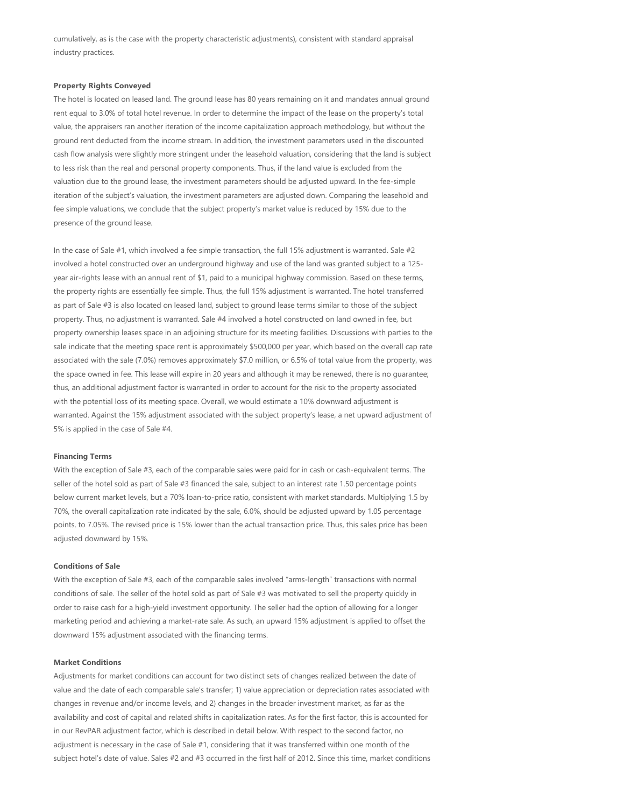cumulatively, as is the case with the property characteristic adjustments), consistent with standard appraisal industry practices.

#### **Property Rights Conveyed**

The hotel is located on leased land. The ground lease has 80 years remaining on it and mandates annual ground rent equal to 3.0% of total hotel revenue. In order to determine the impact of the lease on the property's total value, the appraisers ran another iteration of the income capitalization approach methodology, but without the ground rent deducted from the income stream. In addition, the investment parameters used in the discounted cash flow analysis were slightly more stringent under the leasehold valuation, considering that the land is subject to less risk than the real and personal property components. Thus, if the land value is excluded from the valuation due to the ground lease, the investment parameters should be adjusted upward. In the fee-simple iteration of the subject's valuation, the investment parameters are adjusted down. Comparing the leasehold and fee simple valuations, we conclude that the subject property's market value is reduced by 15% due to the presence of the ground lease.

In the case of Sale #1, which involved a fee simple transaction, the full 15% adjustment is warranted. Sale #2 involved a hotel constructed over an underground highway and use of the land was granted subject to a 125‐ year air‐rights lease with an annual rent of \$1, paid to a municipal highway commission. Based on these terms, the property rights are essentially fee simple. Thus, the full 15% adjustment is warranted. The hotel transferred as part of Sale #3 is also located on leased land, subject to ground lease terms similar to those of the subject property. Thus, no adjustment is warranted. Sale #4 involved a hotel constructed on land owned in fee, but property ownership leases space in an adjoining structure for its meeting facilities. Discussions with parties to the sale indicate that the meeting space rent is approximately \$500,000 per year, which based on the overall cap rate associated with the sale (7.0%) removes approximately \$7.0 million, or 6.5% of total value from the property, was the space owned in fee. This lease will expire in 20 years and although it may be renewed, there is no guarantee; thus, an additional adjustment factor is warranted in order to account for the risk to the property associated with the potential loss of its meeting space. Overall, we would estimate a 10% downward adjustment is warranted. Against the 15% adjustment associated with the subject property's lease, a net upward adjustment of 5% is applied in the case of Sale #4.

#### **Financing Terms**

With the exception of Sale #3, each of the comparable sales were paid for in cash or cash-equivalent terms. The seller of the hotel sold as part of Sale #3 financed the sale, subject to an interest rate 1.50 percentage points below current market levels, but a 70% loan‐to‐price ratio, consistent with market standards. Multiplying 1.5 by 70%, the overall capitalization rate indicated by the sale, 6.0%, should be adjusted upward by 1.05 percentage points, to 7.05%. The revised price is 15% lower than the actual transaction price. Thus, this sales price has been adjusted downward by 15%.

# **Conditions of Sale**

With the exception of Sale #3, each of the comparable sales involved "arms-length" transactions with normal conditions of sale. The seller of the hotel sold as part of Sale #3 was motivated to sell the property quickly in order to raise cash for a high‐yield investment opportunity. The seller had the option of allowing for a longer marketing period and achieving a market‐rate sale. As such, an upward 15% adjustment is applied to offset the downward 15% adjustment associated with the financing terms.

#### **Market Conditions**

Adjustments for market conditions can account for two distinct sets of changes realized between the date of value and the date of each comparable sale's transfer; 1) value appreciation or depreciation rates associated with changes in revenue and/or income levels, and 2) changes in the broader investment market, as far as the availability and cost of capital and related shifts in capitalization rates. As for the first factor, this is accounted for in our RevPAR adjustment factor, which is described in detail below. With respect to the second factor, no adjustment is necessary in the case of Sale #1, considering that it was transferred within one month of the subject hotel's date of value. Sales #2 and #3 occurred in the first half of 2012. Since this time, market conditions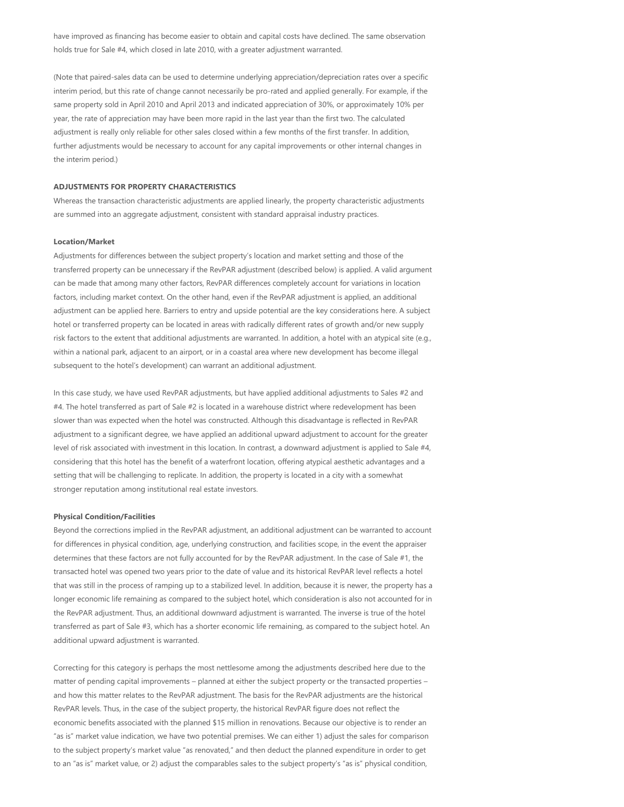have improved as financing has become easier to obtain and capital costs have declined. The same observation holds true for Sale #4, which closed in late 2010, with a greater adjustment warranted.

﴾Note that paired‐sales data can be used to determine underlying appreciation/depreciation rates over a specific interim period, but this rate of change cannot necessarily be pro-rated and applied generally. For example, if the same property sold in April 2010 and April 2013 and indicated appreciation of 30%, or approximately 10% per year, the rate of appreciation may have been more rapid in the last year than the first two. The calculated adjustment is really only reliable for other sales closed within a few months of the first transfer. In addition, further adjustments would be necessary to account for any capital improvements or other internal changes in the interim period.)

### **ADJUSTMENTS FOR PROPERTY CHARACTERISTICS**

Whereas the transaction characteristic adjustments are applied linearly, the property characteristic adjustments are summed into an aggregate adjustment, consistent with standard appraisal industry practices.

#### **Location/Market**

Adjustments for differences between the subject property's location and market setting and those of the transferred property can be unnecessary if the RevPAR adjustment (described below) is applied. A valid argument can be made that among many other factors, RevPAR differences completely account for variations in location factors, including market context. On the other hand, even if the RevPAR adjustment is applied, an additional adjustment can be applied here. Barriers to entry and upside potential are the key considerations here. A subject hotel or transferred property can be located in areas with radically different rates of growth and/or new supply risk factors to the extent that additional adjustments are warranted. In addition, a hotel with an atypical site (e.g., within a national park, adjacent to an airport, or in a coastal area where new development has become illegal subsequent to the hotel's development) can warrant an additional adjustment.

In this case study, we have used RevPAR adjustments, but have applied additional adjustments to Sales #2 and #4. The hotel transferred as part of Sale #2 is located in a warehouse district where redevelopment has been slower than was expected when the hotel was constructed. Although this disadvantage is reflected in RevPAR adjustment to a significant degree, we have applied an additional upward adjustment to account for the greater level of risk associated with investment in this location. In contrast, a downward adjustment is applied to Sale #4, considering that this hotel has the benefit of a waterfront location, offering atypical aesthetic advantages and a setting that will be challenging to replicate. In addition, the property is located in a city with a somewhat stronger reputation among institutional real estate investors.

#### **Physical Condition/Facilities**

Beyond the corrections implied in the RevPAR adjustment, an additional adjustment can be warranted to account for differences in physical condition, age, underlying construction, and facilities scope, in the event the appraiser determines that these factors are not fully accounted for by the RevPAR adjustment. In the case of Sale #1, the transacted hotel was opened two years prior to the date of value and its historical RevPAR level reflects a hotel that was still in the process of ramping up to a stabilized level. In addition, because it is newer, the property has a longer economic life remaining as compared to the subject hotel, which consideration is also not accounted for in the RevPAR adjustment. Thus, an additional downward adjustment is warranted. The inverse is true of the hotel transferred as part of Sale #3, which has a shorter economic life remaining, as compared to the subject hotel. An additional upward adjustment is warranted.

Correcting for this category is perhaps the most nettlesome among the adjustments described here due to the matter of pending capital improvements – planned at either the subject property or the transacted properties – and how this matter relates to the RevPAR adjustment. The basis for the RevPAR adjustments are the historical RevPAR levels. Thus, in the case of the subject property, the historical RevPAR figure does not reflect the economic benefits associated with the planned \$15 million in renovations. Because our objective is to render an "as is" market value indication, we have two potential premises. We can either 1) adjust the sales for comparison to the subject property's market value "as renovated," and then deduct the planned expenditure in order to get to an "as is" market value, or 2) adjust the comparables sales to the subject property's "as is" physical condition,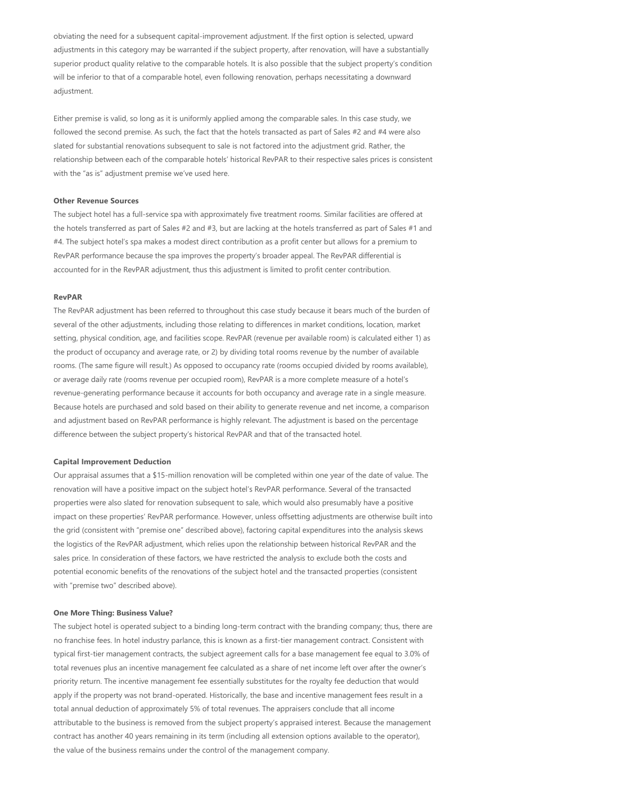obviating the need for a subsequent capital‐improvement adjustment. If the first option is selected, upward adjustments in this category may be warranted if the subject property, after renovation, will have a substantially superior product quality relative to the comparable hotels. It is also possible that the subject property's condition will be inferior to that of a comparable hotel, even following renovation, perhaps necessitating a downward adjustment.

Either premise is valid, so long as it is uniformly applied among the comparable sales. In this case study, we followed the second premise. As such, the fact that the hotels transacted as part of Sales #2 and #4 were also slated for substantial renovations subsequent to sale is not factored into the adjustment grid. Rather, the relationship between each of the comparable hotels' historical RevPAR to their respective sales prices is consistent with the "as is" adjustment premise we've used here.

#### **Other Revenue Sources**

The subject hotel has a full‐service spa with approximately five treatment rooms. Similar facilities are offered at the hotels transferred as part of Sales #2 and #3, but are lacking at the hotels transferred as part of Sales #1 and #4. The subject hotel's spa makes a modest direct contribution as a profit center but allows for a premium to RevPAR performance because the spa improves the property's broader appeal. The RevPAR differential is accounted for in the RevPAR adjustment, thus this adjustment is limited to profit center contribution.

## **RevPAR**

The RevPAR adjustment has been referred to throughout this case study because it bears much of the burden of several of the other adjustments, including those relating to differences in market conditions, location, market setting, physical condition, age, and facilities scope. RevPAR (revenue per available room) is calculated either 1) as the product of occupancy and average rate, or 2) by dividing total rooms revenue by the number of available rooms. (The same figure will result.) As opposed to occupancy rate (rooms occupied divided by rooms available), or average daily rate (rooms revenue per occupied room), RevPAR is a more complete measure of a hotel's revenue‐generating performance because it accounts for both occupancy and average rate in a single measure. Because hotels are purchased and sold based on their ability to generate revenue and net income, a comparison and adjustment based on RevPAR performance is highly relevant. The adjustment is based on the percentage difference between the subject property's historical RevPAR and that of the transacted hotel.

#### **Capital Improvement Deduction**

Our appraisal assumes that a \$15‐million renovation will be completed within one year of the date of value. The renovation will have a positive impact on the subject hotel's RevPAR performance. Several of the transacted properties were also slated for renovation subsequent to sale, which would also presumably have a positive impact on these properties' RevPAR performance. However, unless offsetting adjustments are otherwise built into the grid (consistent with "premise one" described above), factoring capital expenditures into the analysis skews the logistics of the RevPAR adjustment, which relies upon the relationship between historical RevPAR and the sales price. In consideration of these factors, we have restricted the analysis to exclude both the costs and potential economic benefits of the renovations of the subject hotel and the transacted properties (consistent with "premise two" described above).

#### **One More Thing: Business Value?**

The subject hotel is operated subject to a binding long-term contract with the branding company; thus, there are no franchise fees. In hotel industry parlance, this is known as a first-tier management contract. Consistent with typical first‐tier management contracts, the subject agreement calls for a base management fee equal to 3.0% of total revenues plus an incentive management fee calculated as a share of net income left over after the owner's priority return. The incentive management fee essentially substitutes for the royalty fee deduction that would apply if the property was not brand-operated. Historically, the base and incentive management fees result in a total annual deduction of approximately 5% of total revenues. The appraisers conclude that all income attributable to the business is removed from the subject property's appraised interest. Because the management contract has another 40 years remaining in its term (including all extension options available to the operator), the value of the business remains under the control of the management company.